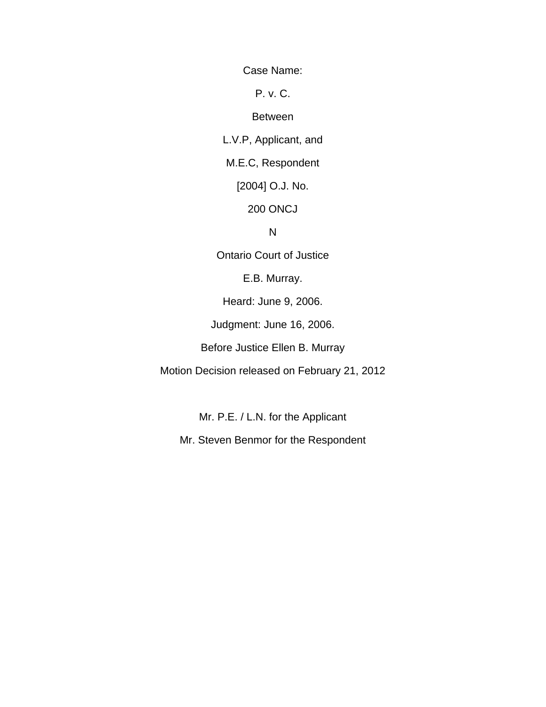Case Name:

P. v. C.

#### Between

L.V.P, Applicant, and

M.E.C, Respondent

[2004] O.J. No.

200 ONCJ

### N

Ontario Court of Justice

E.B. Murray.

Heard: June 9, 2006.

Judgment: June 16, 2006.

Before Justice Ellen B. Murray

Motion Decision released on February 21, 2012

Mr. P.E. / L.N. for the Applicant

Mr. Steven Benmor for the Respondent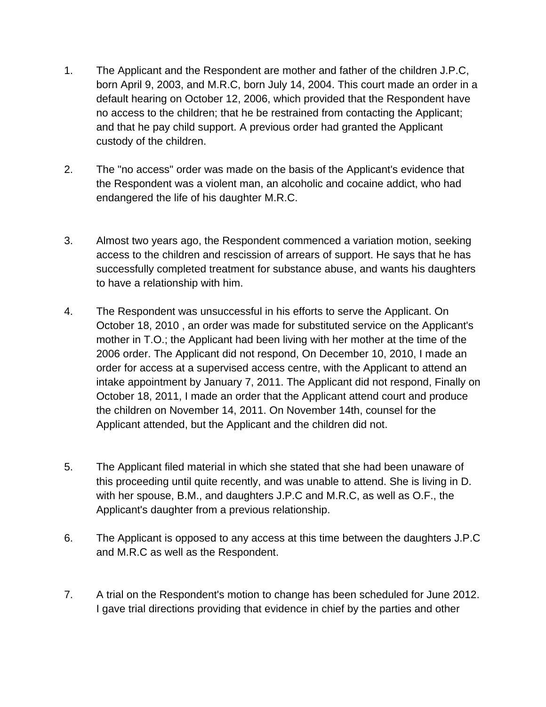- 1. The Applicant and the Respondent are mother and father of the children J.P.C, born April 9, 2003, and M.R.C, born July 14, 2004. This court made an order in a default hearing on October 12, 2006, which provided that the Respondent have no access to the children; that he be restrained from contacting the Applicant; and that he pay child support. A previous order had granted the Applicant custody of the children.
- 2. The "no access" order was made on the basis of the Applicant's evidence that the Respondent was a violent man, an alcoholic and cocaine addict, who had endangered the life of his daughter M.R.C.
- 3. Almost two years ago, the Respondent commenced a variation motion, seeking access to the children and rescission of arrears of support. He says that he has successfully completed treatment for substance abuse, and wants his daughters to have a relationship with him.
- 4. The Respondent was unsuccessful in his efforts to serve the Applicant. On October 18, 2010 , an order was made for substituted service on the Applicant's mother in T.O.; the Applicant had been living with her mother at the time of the 2006 order. The Applicant did not respond, On December 10, 2010, I made an order for access at a supervised access centre, with the Applicant to attend an intake appointment by January 7, 2011. The Applicant did not respond, Finally on October 18, 2011, I made an order that the Applicant attend court and produce the children on November 14, 2011. On November 14th, counsel for the Applicant attended, but the Applicant and the children did not.
- 5. The Applicant filed material in which she stated that she had been unaware of this proceeding until quite recently, and was unable to attend. She is living in D. with her spouse, B.M., and daughters J.P.C and M.R.C, as well as O.F., the Applicant's daughter from a previous relationship.
- 6. The Applicant is opposed to any access at this time between the daughters J.P.C and M.R.C as well as the Respondent.
- 7. A trial on the Respondent's motion to change has been scheduled for June 2012. I gave trial directions providing that evidence in chief by the parties and other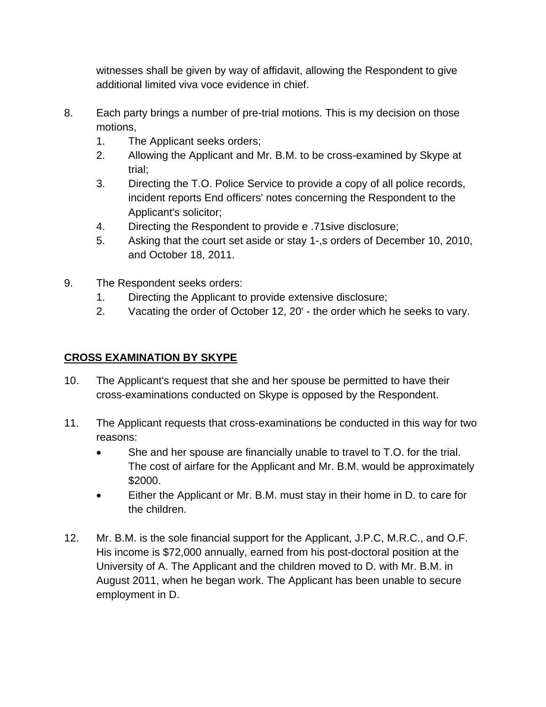witnesses shall be given by way of affidavit, allowing the Respondent to give additional limited viva voce evidence in chief.

- 8. Each party brings a number of pre-trial motions. This is my decision on those motions,
	- 1. The Applicant seeks orders;
	- 2. Allowing the Applicant and Mr. B.M. to be cross-examined by Skype at trial;
	- 3. Directing the T.O. Police Service to provide a copy of all police records, incident reports End officers' notes concerning the Respondent to the Applicant's solicitor;
	- 4. Directing the Respondent to provide e .71sive disclosure;
	- 5. Asking that the court set aside or stay 1-,s orders of December 10, 2010, and October 18, 2011.
- 9. The Respondent seeks orders:
	- 1. Directing the Applicant to provide extensive disclosure;
	- 2. Vacating the order of October 12, 20' the order which he seeks to vary.

# **CROSS EXAMINATION BY SKYPE**

- 10. The Applicant's request that she and her spouse be permitted to have their cross-examinations conducted on Skype is opposed by the Respondent.
- 11. The Applicant requests that cross-examinations be conducted in this way for two reasons:
	- She and her spouse are financially unable to travel to T.O. for the trial. The cost of airfare for the Applicant and Mr. B.M. would be approximately \$2000.
	- Either the Applicant or Mr. B.M. must stay in their home in D. to care for the children.
- 12. Mr. B.M. is the sole financial support for the Applicant, J.P.C, M.R.C., and O.F. His income is \$72,000 annually, earned from his post-doctoral position at the University of A. The Applicant and the children moved to D. with Mr. B.M. in August 2011, when he began work. The Applicant has been unable to secure employment in D.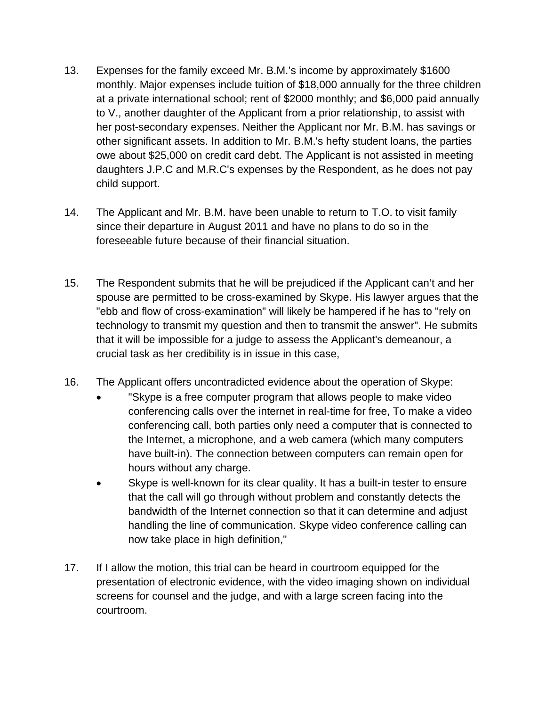- 13. Expenses for the family exceed Mr. B.M.'s income by approximately \$1600 monthly. Major expenses include tuition of \$18,000 annually for the three children at a private international school; rent of \$2000 monthly; and \$6,000 paid annually to V., another daughter of the Applicant from a prior relationship, to assist with her post-secondary expenses. Neither the Applicant nor Mr. B.M. has savings or other significant assets. In addition to Mr. B.M.'s hefty student loans, the parties owe about \$25,000 on credit card debt. The Applicant is not assisted in meeting daughters J.P.C and M.R.C's expenses by the Respondent, as he does not pay child support.
- 14. The Applicant and Mr. B.M. have been unable to return to T.O. to visit family since their departure in August 2011 and have no plans to do so in the foreseeable future because of their financial situation.
- 15. The Respondent submits that he will be prejudiced if the Applicant can't and her spouse are permitted to be cross-examined by Skype. His lawyer argues that the "ebb and flow of cross-examination" will likely be hampered if he has to "rely on technology to transmit my question and then to transmit the answer". He submits that it will be impossible for a judge to assess the Applicant's demeanour, a crucial task as her credibility is in issue in this case,
- 16. The Applicant offers uncontradicted evidence about the operation of Skype:
	- "Skype is a free computer program that allows people to make video conferencing calls over the internet in real-time for free, To make a video conferencing call, both parties only need a computer that is connected to the Internet, a microphone, and a web camera (which many computers have built-in). The connection between computers can remain open for hours without any charge.
	- Skype is well-known for its clear quality. It has a built-in tester to ensure that the call will go through without problem and constantly detects the bandwidth of the Internet connection so that it can determine and adjust handling the line of communication. Skype video conference calling can now take place in high definition,"
- 17. If I allow the motion, this trial can be heard in courtroom equipped for the presentation of electronic evidence, with the video imaging shown on individual screens for counsel and the judge, and with a large screen facing into the courtroom.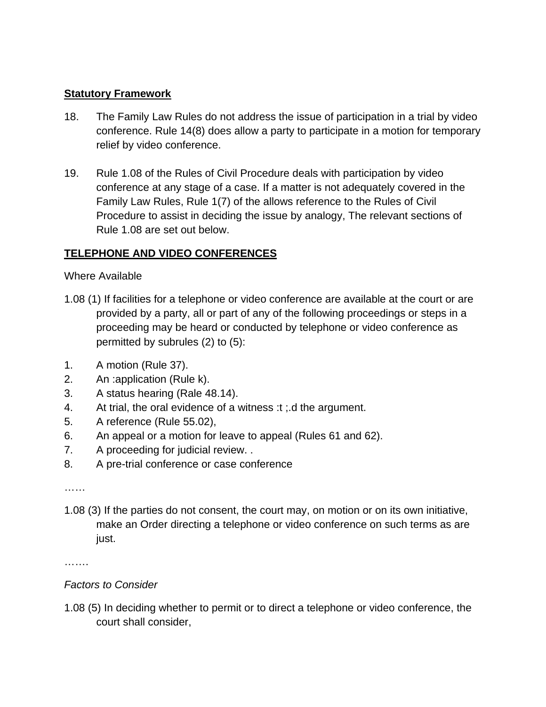#### **Statutory Framework**

- 18. The Family Law Rules do not address the issue of participation in a trial by video conference. Rule 14(8) does allow a party to participate in a motion for temporary relief by video conference.
- 19. Rule 1.08 of the Rules of Civil Procedure deals with participation by video conference at any stage of a case. If a matter is not adequately covered in the Family Law Rules, Rule 1(7) of the allows reference to the Rules of Civil Procedure to assist in deciding the issue by analogy, The relevant sections of Rule 1.08 are set out below.

#### **TELEPHONE AND VIDEO CONFERENCES**

#### Where Available

- 1.08 (1) If facilities for a telephone or video conference are available at the court or are provided by a party, all or part of any of the following proceedings or steps in a proceeding may be heard or conducted by telephone or video conference as permitted by subrules (2) to (5):
- 1. A motion (Rule 37).
- 2. An :application (Rule k).
- 3. A status hearing (Rale 48.14).
- 4. At trial, the oral evidence of a witness :t ;.d the argument.
- 5. A reference (Rule 55.02),
- 6. An appeal or a motion for leave to appeal (Rules 61 and 62).
- 7. A proceeding for judicial review. .
- 8. A pre-trial conference or case conference

……

1.08 (3) If the parties do not consent, the court may, on motion or on its own initiative, make an Order directing a telephone or video conference on such terms as are just.

………

### *Factors to Consider*

1.08 (5) In deciding whether to permit or to direct a telephone or video conference, the court shall consider,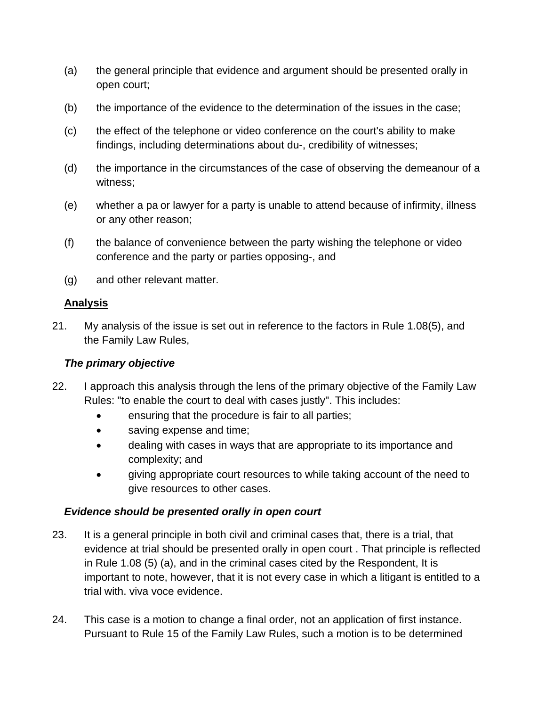- (a) the general principle that evidence and argument should be presented orally in open court;
- (b) the importance of the evidence to the determination of the issues in the case;
- (c) the effect of the telephone or video conference on the court's ability to make findings, including determinations about du-, credibility of witnesses;
- (d) the importance in the circumstances of the case of observing the demeanour of a witness;
- (e) whether a pa or lawyer for a party is unable to attend because of infirmity, illness or any other reason;
- (f) the balance of convenience between the party wishing the telephone or video conference and the party or parties opposing-, and
- (g) and other relevant matter.

### **Analysis**

21. My analysis of the issue is set out in reference to the factors in Rule 1.08(5), and the Family Law Rules,

### *The primary objective*

- 22. I approach this analysis through the lens of the primary objective of the Family Law Rules: "to enable the court to deal with cases justly". This includes:
	- ensuring that the procedure is fair to all parties;
	- saving expense and time;
	- dealing with cases in ways that are appropriate to its importance and complexity; and
	- giving appropriate court resources to while taking account of the need to give resources to other cases.

### *Evidence should be presented orally in open court*

- 23. It is a general principle in both civil and criminal cases that, there is a trial, that evidence at trial should be presented orally in open court . That principle is reflected in Rule 1.08 (5) (a), and in the criminal cases cited by the Respondent, It is important to note, however, that it is not every case in which a litigant is entitled to a trial with. viva voce evidence.
- 24. This case is a motion to change a final order, not an application of first instance. Pursuant to Rule 15 of the Family Law Rules, such a motion is to be determined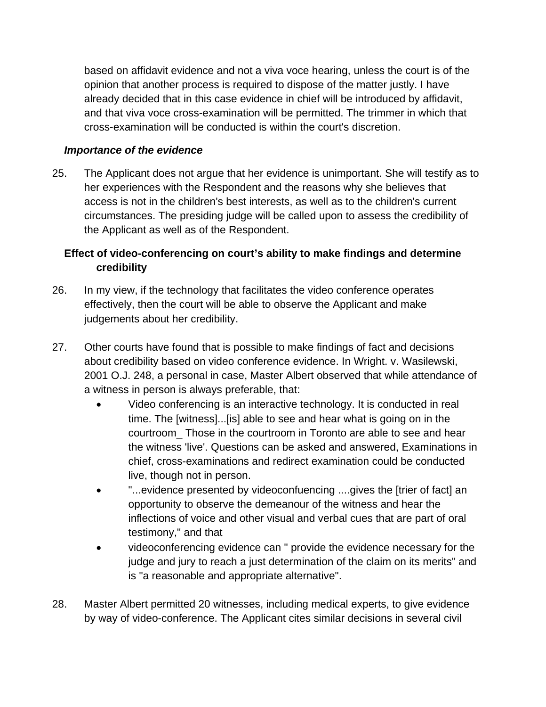based on affidavit evidence and not a viva voce hearing, unless the court is of the opinion that another process is required to dispose of the matter justly. I have already decided that in this case evidence in chief will be introduced by affidavit, and that viva voce cross-examination will be permitted. The trimmer in which that cross-examination will be conducted is within the court's discretion.

### *Importance of the evidence*

25. The Applicant does not argue that her evidence is unimportant. She will testify as to her experiences with the Respondent and the reasons why she believes that access is not in the children's best interests, as well as to the children's current circumstances. The presiding judge will be called upon to assess the credibility of the Applicant as well as of the Respondent.

# **Effect of video-conferencing on court's ability to make findings and determine credibility**

- 26. In my view, if the technology that facilitates the video conference operates effectively, then the court will be able to observe the Applicant and make judgements about her credibility.
- 27. Other courts have found that is possible to make findings of fact and decisions about credibility based on video conference evidence. In Wright. v. Wasilewski, 2001 O.J. 248, a personal in case, Master Albert observed that while attendance of a witness in person is always preferable, that:
	- Video conferencing is an interactive technology. It is conducted in real time. The [witness]...[is] able to see and hear what is going on in the courtroom\_ Those in the courtroom in Toronto are able to see and hear the witness 'live'. Questions can be asked and answered, Examinations in chief, cross-examinations and redirect examination could be conducted live, though not in person.
	- "...evidence presented by videoconfuencing ....gives the [trier of fact] an opportunity to observe the demeanour of the witness and hear the inflections of voice and other visual and verbal cues that are part of oral testimony," and that
	- videoconferencing evidence can " provide the evidence necessary for the judge and jury to reach a just determination of the claim on its merits" and is "a reasonable and appropriate alternative".
- 28. Master Albert permitted 20 witnesses, including medical experts, to give evidence by way of video-conference. The Applicant cites similar decisions in several civil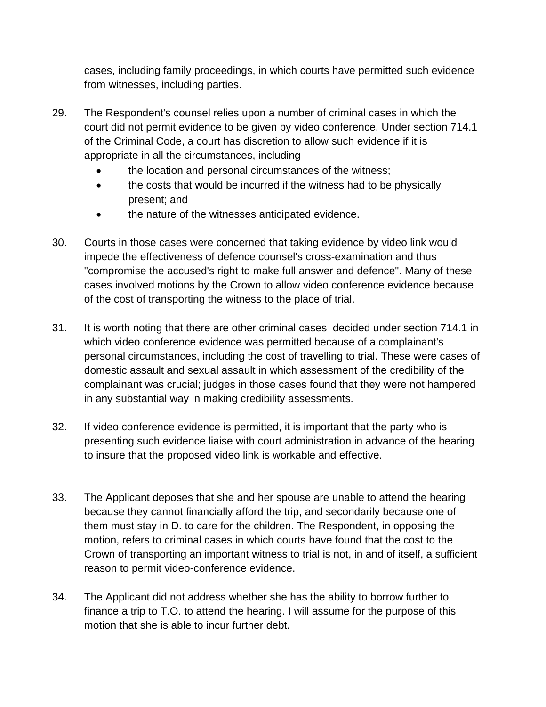cases, including family proceedings, in which courts have permitted such evidence from witnesses, including parties.

- 29. The Respondent's counsel relies upon a number of criminal cases in which the court did not permit evidence to be given by video conference. Under section 714.1 of the Criminal Code, a court has discretion to allow such evidence if it is appropriate in all the circumstances, including
	- the location and personal circumstances of the witness;
	- the costs that would be incurred if the witness had to be physically present; and
	- the nature of the witnesses anticipated evidence.
- 30. Courts in those cases were concerned that taking evidence by video link would impede the effectiveness of defence counsel's cross-examination and thus "compromise the accused's right to make full answer and defence". Many of these cases involved motions by the Crown to allow video conference evidence because of the cost of transporting the witness to the place of trial.
- 31. It is worth noting that there are other criminal cases decided under section 714.1 in which video conference evidence was permitted because of a complainant's personal circumstances, including the cost of travelling to trial. These were cases of domestic assault and sexual assault in which assessment of the credibility of the complainant was crucial; judges in those cases found that they were not hampered in any substantial way in making credibility assessments.
- 32. If video conference evidence is permitted, it is important that the party who is presenting such evidence liaise with court administration in advance of the hearing to insure that the proposed video link is workable and effective.
- 33. The Applicant deposes that she and her spouse are unable to attend the hearing because they cannot financially afford the trip, and secondarily because one of them must stay in D. to care for the children. The Respondent, in opposing the motion, refers to criminal cases in which courts have found that the cost to the Crown of transporting an important witness to trial is not, in and of itself, a sufficient reason to permit video-conference evidence.
- 34. The Applicant did not address whether she has the ability to borrow further to finance a trip to T.O. to attend the hearing. I will assume for the purpose of this motion that she is able to incur further debt.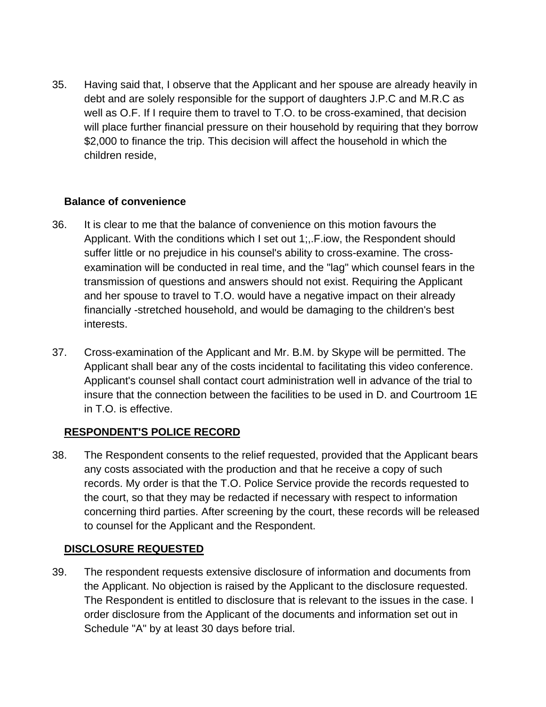35. Having said that, I observe that the Applicant and her spouse are already heavily in debt and are solely responsible for the support of daughters J.P.C and M.R.C as well as O.F. If I require them to travel to T.O. to be cross-examined, that decision will place further financial pressure on their household by requiring that they borrow \$2,000 to finance the trip. This decision will affect the household in which the children reside,

#### **Balance of convenience**

- 36. It is clear to me that the balance of convenience on this motion favours the Applicant. With the conditions which I set out 1;,.F.iow, the Respondent should suffer little or no prejudice in his counsel's ability to cross-examine. The crossexamination will be conducted in real time, and the "lag" which counsel fears in the transmission of questions and answers should not exist. Requiring the Applicant and her spouse to travel to T.O. would have a negative impact on their already financially -stretched household, and would be damaging to the children's best interests.
- 37. Cross-examination of the Applicant and Mr. B.M. by Skype will be permitted. The Applicant shall bear any of the costs incidental to facilitating this video conference. Applicant's counsel shall contact court administration well in advance of the trial to insure that the connection between the facilities to be used in D. and Courtroom 1E in T.O. is effective.

### **RESPONDENT'S POLICE RECORD**

38. The Respondent consents to the relief requested, provided that the Applicant bears any costs associated with the production and that he receive a copy of such records. My order is that the T.O. Police Service provide the records requested to the court, so that they may be redacted if necessary with respect to information concerning third parties. After screening by the court, these records will be released to counsel for the Applicant and the Respondent.

### **DISCLOSURE REQUESTED**

39. The respondent requests extensive disclosure of information and documents from the Applicant. No objection is raised by the Applicant to the disclosure requested. The Respondent is entitled to disclosure that is relevant to the issues in the case. I order disclosure from the Applicant of the documents and information set out in Schedule "A" by at least 30 days before trial.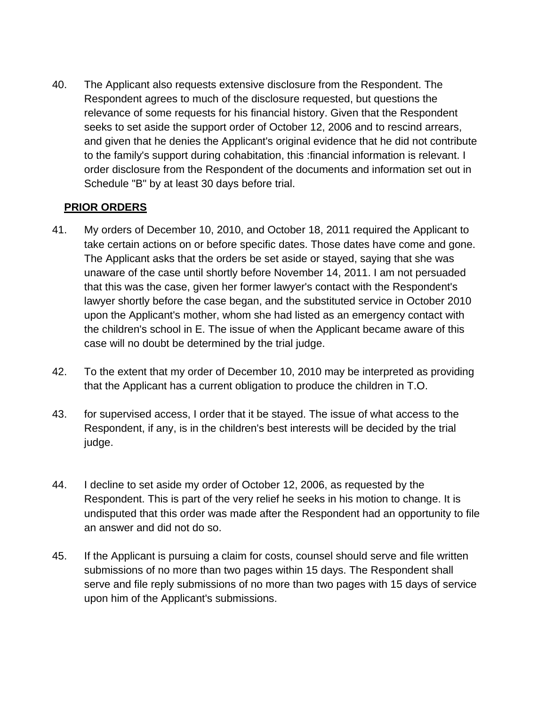40. The Applicant also requests extensive disclosure from the Respondent. The Respondent agrees to much of the disclosure requested, but questions the relevance of some requests for his financial history. Given that the Respondent seeks to set aside the support order of October 12, 2006 and to rescind arrears, and given that he denies the Applicant's original evidence that he did not contribute to the family's support during cohabitation, this :financial information is relevant. I order disclosure from the Respondent of the documents and information set out in Schedule "B" by at least 30 days before trial.

### **PRIOR ORDERS**

- 41. My orders of December 10, 2010, and October 18, 2011 required the Applicant to take certain actions on or before specific dates. Those dates have come and gone. The Applicant asks that the orders be set aside or stayed, saying that she was unaware of the case until shortly before November 14, 2011. I am not persuaded that this was the case, given her former lawyer's contact with the Respondent's lawyer shortly before the case began, and the substituted service in October 2010 upon the Applicant's mother, whom she had listed as an emergency contact with the children's school in E. The issue of when the Applicant became aware of this case will no doubt be determined by the trial judge.
- 42. To the extent that my order of December 10, 2010 may be interpreted as providing that the Applicant has a current obligation to produce the children in T.O.
- 43. for supervised access, I order that it be stayed. The issue of what access to the Respondent, if any, is in the children's best interests will be decided by the trial judge.
- 44. I decline to set aside my order of October 12, 2006, as requested by the Respondent. This is part of the very relief he seeks in his motion to change. It is undisputed that this order was made after the Respondent had an opportunity to file an answer and did not do so.
- 45. If the Applicant is pursuing a claim for costs, counsel should serve and file written submissions of no more than two pages within 15 days. The Respondent shall serve and file reply submissions of no more than two pages with 15 days of service upon him of the Applicant's submissions.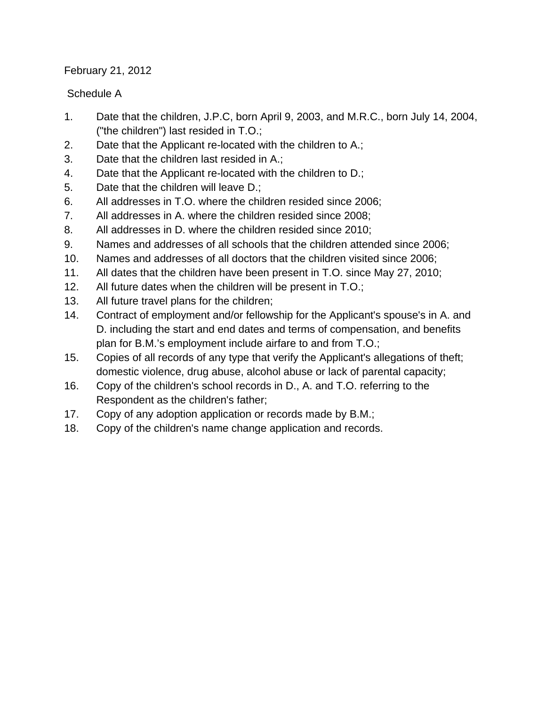February 21, 2012

# Schedule A

- 1. Date that the children, J.P.C, born April 9, 2003, and M.R.C., born July 14, 2004, ("the children") last resided in T.O.;
- 2. Date that the Applicant re-located with the children to A.;
- 3. Date that the children last resided in A.;
- 4. Date that the Applicant re-located with the children to D.;
- 5. Date that the children will leave D.;
- 6. All addresses in T.O. where the children resided since 2006;
- 7. All addresses in A. where the children resided since 2008;
- 8. All addresses in D. where the children resided since 2010;
- 9. Names and addresses of all schools that the children attended since 2006;
- 10. Names and addresses of all doctors that the children visited since 2006;
- 11. All dates that the children have been present in T.O. since May 27, 2010;
- 12. All future dates when the children will be present in T.O.;
- 13. All future travel plans for the children;
- 14. Contract of employment and/or fellowship for the Applicant's spouse's in A. and D. including the start and end dates and terms of compensation, and benefits plan for B.M.'s employment include airfare to and from T.O.;
- 15. Copies of all records of any type that verify the Applicant's allegations of theft; domestic violence, drug abuse, alcohol abuse or lack of parental capacity;
- 16. Copy of the children's school records in D., A. and T.O. referring to the Respondent as the children's father;
- 17. Copy of any adoption application or records made by B.M.;
- 18. Copy of the children's name change application and records.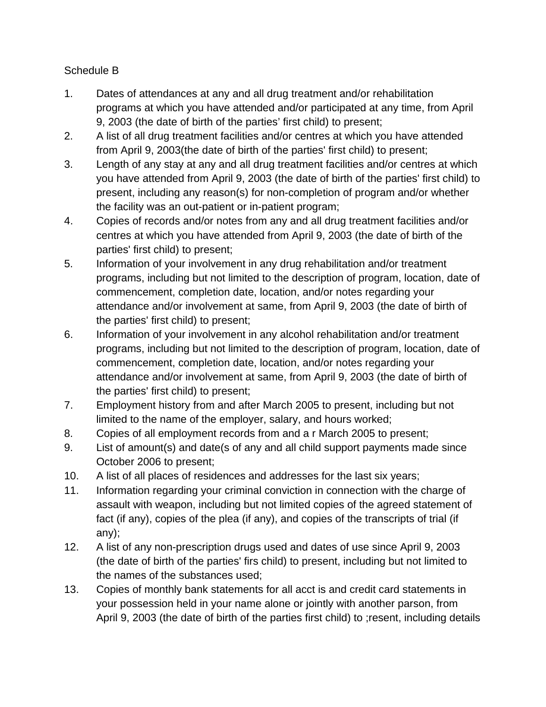# Schedule B

- 1. Dates of attendances at any and all drug treatment and/or rehabilitation programs at which you have attended and/or participated at any time, from April 9, 2003 (the date of birth of the parties' first child) to present;
- 2. A list of all drug treatment facilities and/or centres at which you have attended from April 9, 2003(the date of birth of the parties' first child) to present;
- 3. Length of any stay at any and all drug treatment facilities and/or centres at which you have attended from April 9, 2003 (the date of birth of the parties' first child) to present, including any reason(s) for non-completion of program and/or whether the facility was an out-patient or in-patient program;
- 4. Copies of records and/or notes from any and all drug treatment facilities and/or centres at which you have attended from April 9, 2003 (the date of birth of the parties' first child) to present;
- 5. Information of your involvement in any drug rehabilitation and/or treatment programs, including but not limited to the description of program, location, date of commencement, completion date, location, and/or notes regarding your attendance and/or involvement at same, from April 9, 2003 (the date of birth of the parties' first child) to present;
- 6. Information of your involvement in any alcohol rehabilitation and/or treatment programs, including but not limited to the description of program, location, date of commencement, completion date, location, and/or notes regarding your attendance and/or involvement at same, from April 9, 2003 (the date of birth of the parties' first child) to present;
- 7. Employment history from and after March 2005 to present, including but not limited to the name of the employer, salary, and hours worked;
- 8. Copies of all employment records from and a r March 2005 to present;
- 9. List of amount(s) and date(s of any and all child support payments made since October 2006 to present;
- 10. A list of all places of residences and addresses for the last six years;
- 11. Information regarding your criminal conviction in connection with the charge of assault with weapon, including but not limited copies of the agreed statement of fact (if any), copies of the plea (if any), and copies of the transcripts of trial (if any);
- 12. A list of any non-prescription drugs used and dates of use since April 9, 2003 (the date of birth of the parties' firs child) to present, including but not limited to the names of the substances used;
- 13. Copies of monthly bank statements for all acct is and credit card statements in your possession held in your name alone or jointly with another parson, from April 9, 2003 (the date of birth of the parties first child) to ;resent, including details